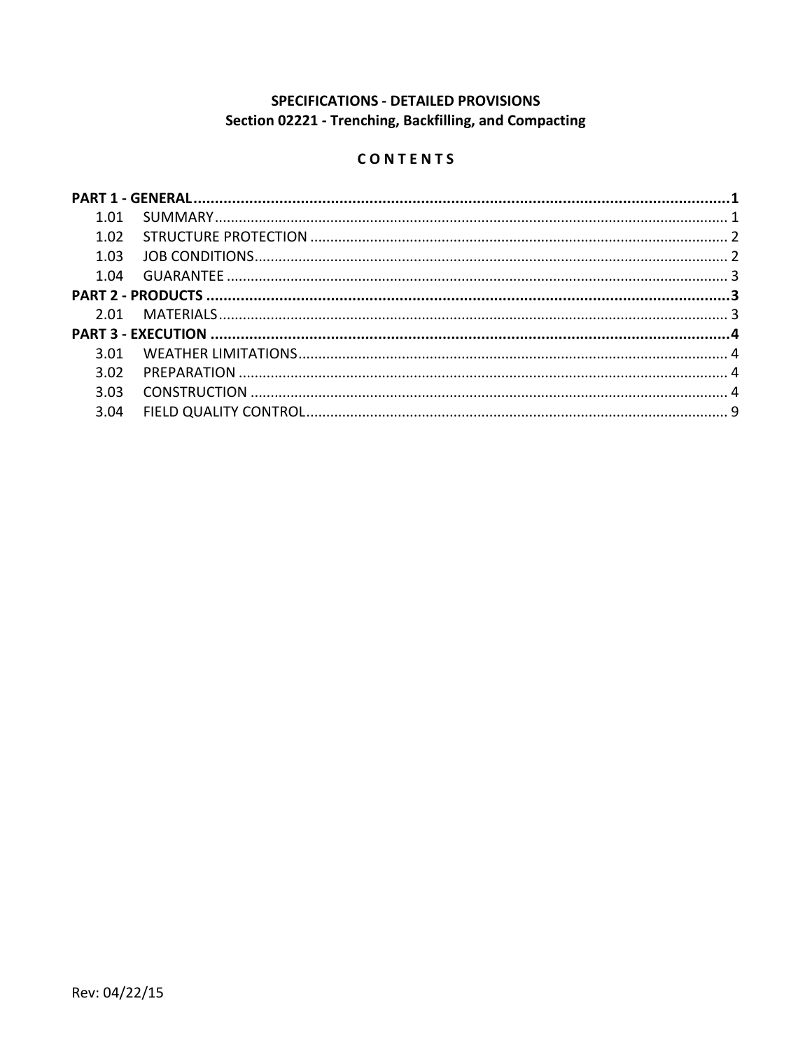# SPECIFICATIONS - DETAILED PROVISIONS Section 02221 - Trenching, Backfilling, and Compacting

# CONTENTS

| 1.01  |  |  |
|-------|--|--|
| 1.02  |  |  |
| 1.03  |  |  |
| 1 በ4  |  |  |
|       |  |  |
|       |  |  |
|       |  |  |
| 3 O 1 |  |  |
| 3.02  |  |  |
| 3.03  |  |  |
| 3.04  |  |  |
|       |  |  |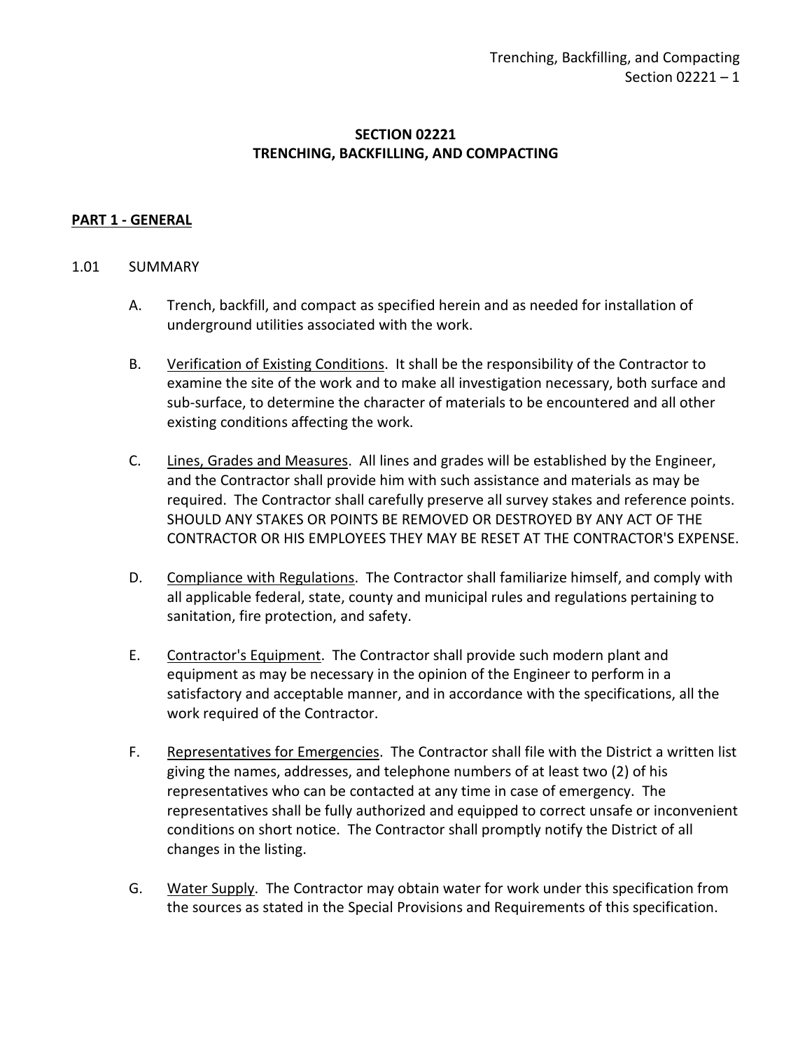# **SECTION 02221 TRENCHING, BACKFILLING, AND COMPACTING**

## <span id="page-2-0"></span>**PART 1 - GENERAL**

#### <span id="page-2-1"></span>1.01 SUMMARY

- A. Trench, backfill, and compact as specified herein and as needed for installation of underground utilities associated with the work.
- B. Verification of Existing Conditions. It shall be the responsibility of the Contractor to examine the site of the work and to make all investigation necessary, both surface and sub-surface, to determine the character of materials to be encountered and all other existing conditions affecting the work.
- C. Lines, Grades and Measures. All lines and grades will be established by the Engineer, and the Contractor shall provide him with such assistance and materials as may be required. The Contractor shall carefully preserve all survey stakes and reference points. SHOULD ANY STAKES OR POINTS BE REMOVED OR DESTROYED BY ANY ACT OF THE CONTRACTOR OR HIS EMPLOYEES THEY MAY BE RESET AT THE CONTRACTOR'S EXPENSE.
- D. Compliance with Regulations. The Contractor shall familiarize himself, and comply with all applicable federal, state, county and municipal rules and regulations pertaining to sanitation, fire protection, and safety.
- E. Contractor's Equipment. The Contractor shall provide such modern plant and equipment as may be necessary in the opinion of the Engineer to perform in a satisfactory and acceptable manner, and in accordance with the specifications, all the work required of the Contractor.
- F. Representatives for Emergencies. The Contractor shall file with the District a written list giving the names, addresses, and telephone numbers of at least two (2) of his representatives who can be contacted at any time in case of emergency. The representatives shall be fully authorized and equipped to correct unsafe or inconvenient conditions on short notice. The Contractor shall promptly notify the District of all changes in the listing.
- G. Water Supply. The Contractor may obtain water for work under this specification from the sources as stated in the Special Provisions and Requirements of this specification.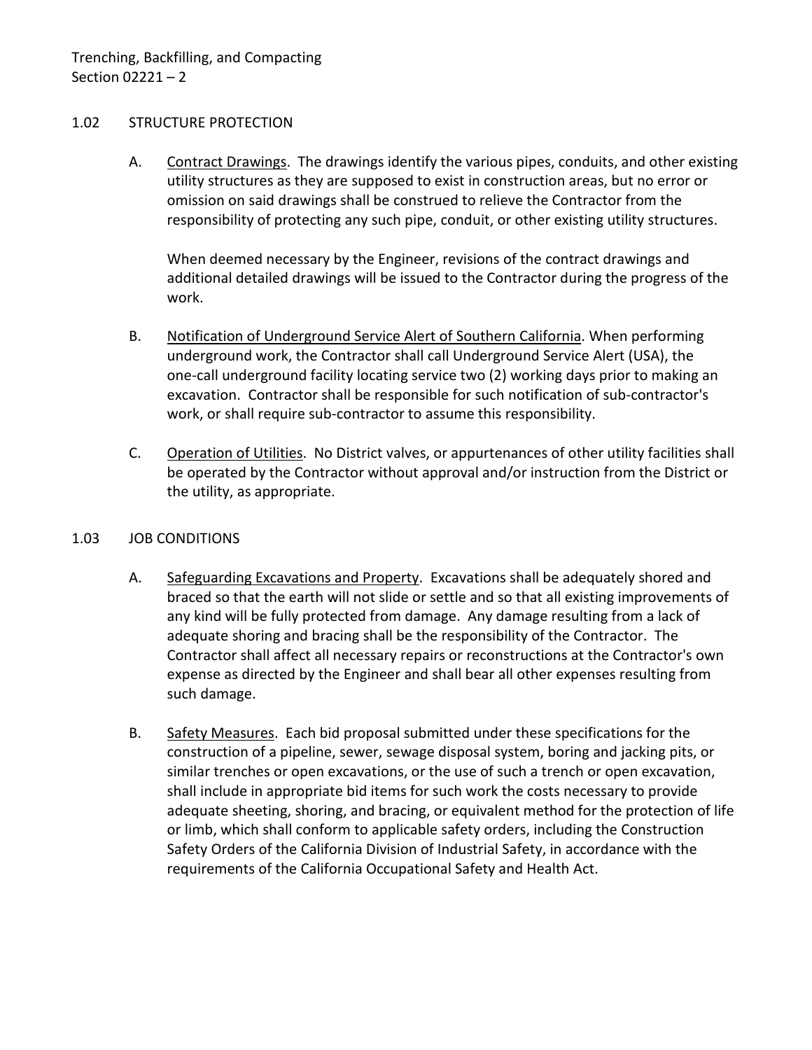### <span id="page-3-0"></span>1.02 STRUCTURE PROTECTION

A. Contract Drawings. The drawings identify the various pipes, conduits, and other existing utility structures as they are supposed to exist in construction areas, but no error or omission on said drawings shall be construed to relieve the Contractor from the responsibility of protecting any such pipe, conduit, or other existing utility structures.

When deemed necessary by the Engineer, revisions of the contract drawings and additional detailed drawings will be issued to the Contractor during the progress of the work.

- B. Notification of Underground Service Alert of Southern California. When performing underground work, the Contractor shall call Underground Service Alert (USA), the one-call underground facility locating service two (2) working days prior to making an excavation. Contractor shall be responsible for such notification of sub-contractor's work, or shall require sub-contractor to assume this responsibility.
- C. Operation of Utilities. No District valves, or appurtenances of other utility facilities shall be operated by the Contractor without approval and/or instruction from the District or the utility, as appropriate.

#### <span id="page-3-1"></span>1.03 JOB CONDITIONS

- A. Safeguarding Excavations and Property. Excavations shall be adequately shored and braced so that the earth will not slide or settle and so that all existing improvements of any kind will be fully protected from damage. Any damage resulting from a lack of adequate shoring and bracing shall be the responsibility of the Contractor. The Contractor shall affect all necessary repairs or reconstructions at the Contractor's own expense as directed by the Engineer and shall bear all other expenses resulting from such damage.
- B. Safety Measures. Each bid proposal submitted under these specifications for the construction of a pipeline, sewer, sewage disposal system, boring and jacking pits, or similar trenches or open excavations, or the use of such a trench or open excavation, shall include in appropriate bid items for such work the costs necessary to provide adequate sheeting, shoring, and bracing, or equivalent method for the protection of life or limb, which shall conform to applicable safety orders, including the Construction Safety Orders of the California Division of Industrial Safety, in accordance with the requirements of the California Occupational Safety and Health Act.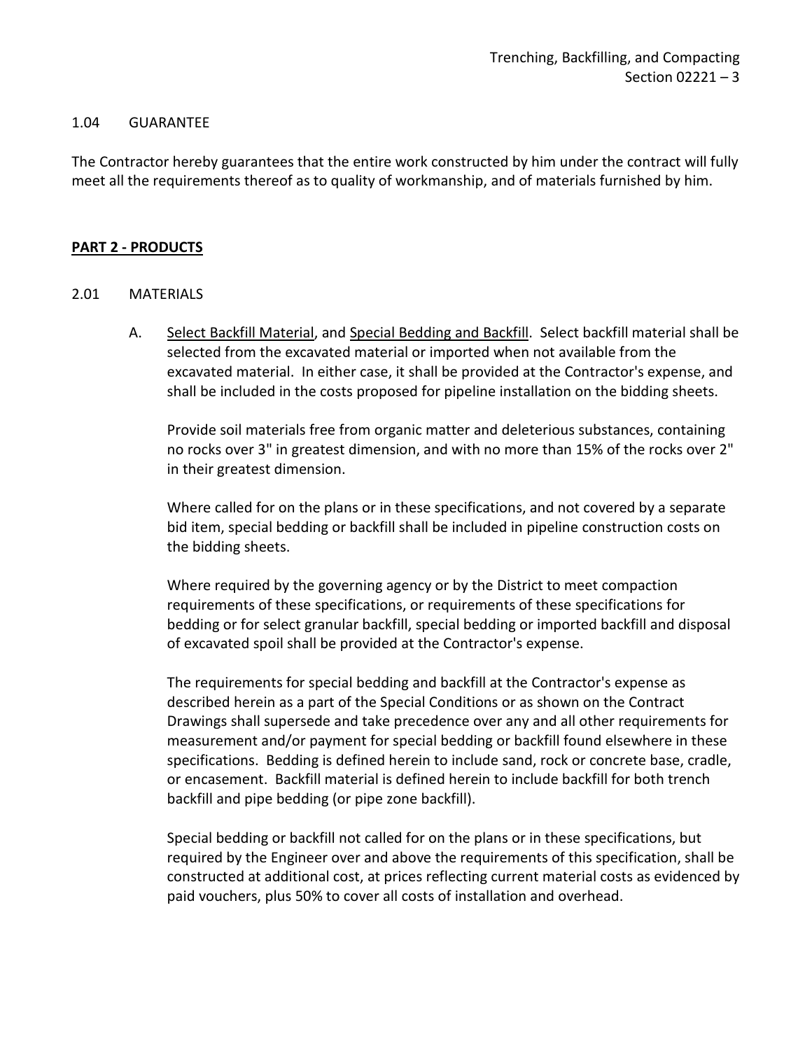#### <span id="page-4-0"></span>1.04 GUARANTEE

The Contractor hereby guarantees that the entire work constructed by him under the contract will fully meet all the requirements thereof as to quality of workmanship, and of materials furnished by him.

#### <span id="page-4-1"></span>**PART 2 - PRODUCTS**

#### <span id="page-4-2"></span>2.01 MATERIALS

A. Select Backfill Material, and Special Bedding and Backfill. Select backfill material shall be selected from the excavated material or imported when not available from the excavated material. In either case, it shall be provided at the Contractor's expense, and shall be included in the costs proposed for pipeline installation on the bidding sheets.

Provide soil materials free from organic matter and deleterious substances, containing no rocks over 3" in greatest dimension, and with no more than 15% of the rocks over 2" in their greatest dimension.

Where called for on the plans or in these specifications, and not covered by a separate bid item, special bedding or backfill shall be included in pipeline construction costs on the bidding sheets.

Where required by the governing agency or by the District to meet compaction requirements of these specifications, or requirements of these specifications for bedding or for select granular backfill, special bedding or imported backfill and disposal of excavated spoil shall be provided at the Contractor's expense.

The requirements for special bedding and backfill at the Contractor's expense as described herein as a part of the Special Conditions or as shown on the Contract Drawings shall supersede and take precedence over any and all other requirements for measurement and/or payment for special bedding or backfill found elsewhere in these specifications. Bedding is defined herein to include sand, rock or concrete base, cradle, or encasement. Backfill material is defined herein to include backfill for both trench backfill and pipe bedding (or pipe zone backfill).

Special bedding or backfill not called for on the plans or in these specifications, but required by the Engineer over and above the requirements of this specification, shall be constructed at additional cost, at prices reflecting current material costs as evidenced by paid vouchers, plus 50% to cover all costs of installation and overhead.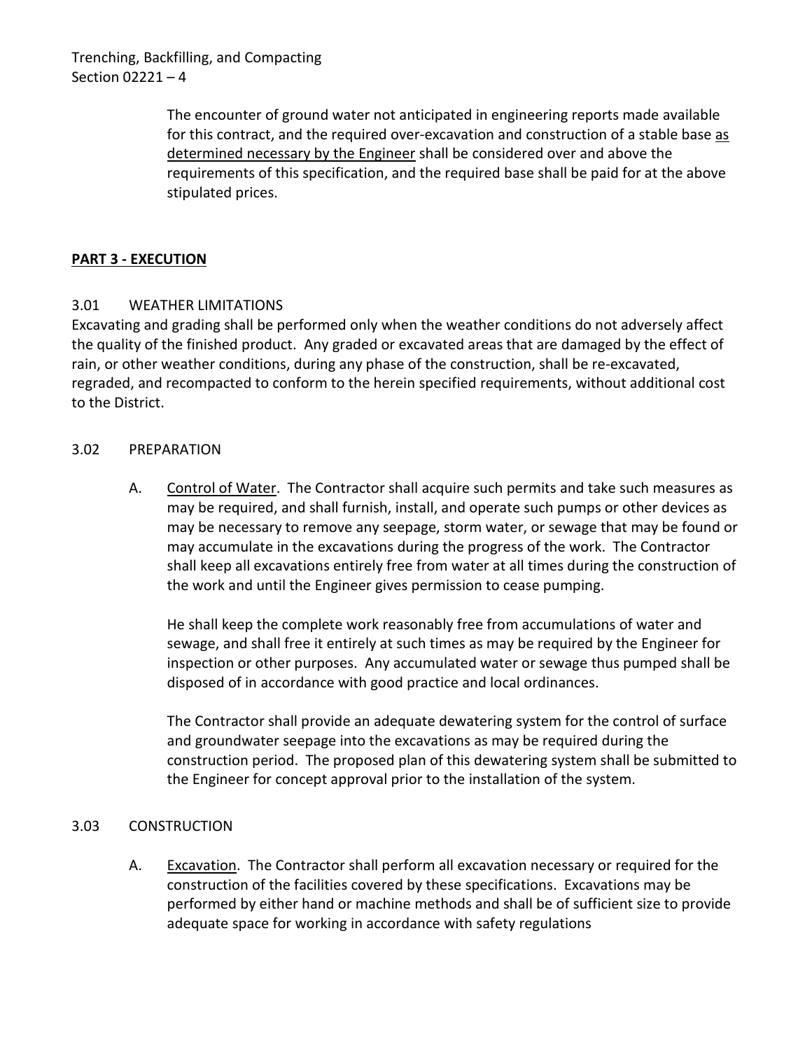Trenching, Backfilling, and Compacting Section 02221 – 4

> The encounter of ground water not anticipated in engineering reports made available for this contract, and the required over-excavation and construction of a stable base as determined necessary by the Engineer shall be considered over and above the requirements of this specification, and the required base shall be paid for at the above stipulated prices.

# <span id="page-5-0"></span>**PART 3 - EXECUTION**

# <span id="page-5-1"></span>3.01 WEATHER LIMITATIONS

Excavating and grading shall be performed only when the weather conditions do not adversely affect the quality of the finished product. Any graded or excavated areas that are damaged by the effect of rain, or other weather conditions, during any phase of the construction, shall be re-excavated, regraded, and recompacted to conform to the herein specified requirements, without additional cost to the District.

## <span id="page-5-2"></span>3.02 PREPARATION

A. Control of Water. The Contractor shall acquire such permits and take such measures as may be required, and shall furnish, install, and operate such pumps or other devices as may be necessary to remove any seepage, storm water, or sewage that may be found or may accumulate in the excavations during the progress of the work. The Contractor shall keep all excavations entirely free from water at all times during the construction of the work and until the Engineer gives permission to cease pumping.

He shall keep the complete work reasonably free from accumulations of water and sewage, and shall free it entirely at such times as may be required by the Engineer for inspection or other purposes. Any accumulated water or sewage thus pumped shall be disposed of in accordance with good practice and local ordinances.

The Contractor shall provide an adequate dewatering system for the control of surface and groundwater seepage into the excavations as may be required during the construction period. The proposed plan of this dewatering system shall be submitted to the Engineer for concept approval prior to the installation of the system.

#### <span id="page-5-3"></span>3.03 CONSTRUCTION

A. Excavation. The Contractor shall perform all excavation necessary or required for the construction of the facilities covered by these specifications. Excavations may be performed by either hand or machine methods and shall be of sufficient size to provide adequate space for working in accordance with safety regulations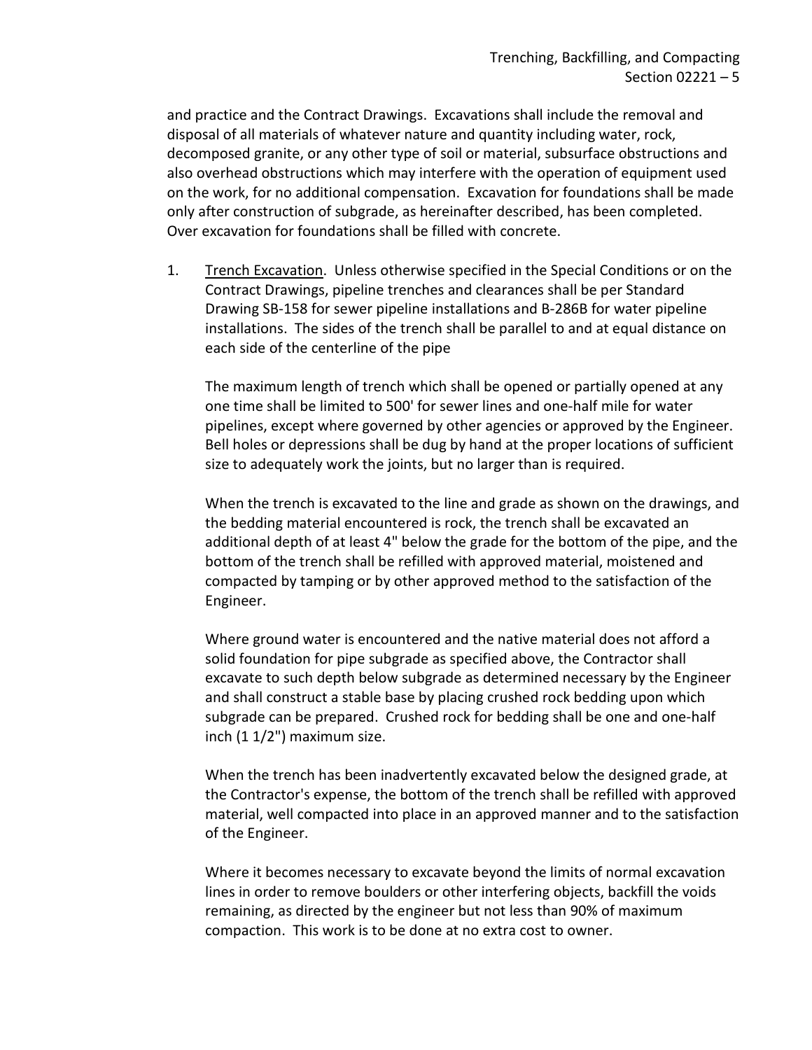and practice and the Contract Drawings. Excavations shall include the removal and disposal of all materials of whatever nature and quantity including water, rock, decomposed granite, or any other type of soil or material, subsurface obstructions and also overhead obstructions which may interfere with the operation of equipment used on the work, for no additional compensation. Excavation for foundations shall be made only after construction of subgrade, as hereinafter described, has been completed. Over excavation for foundations shall be filled with concrete.

1. Trench Excavation. Unless otherwise specified in the Special Conditions or on the Contract Drawings, pipeline trenches and clearances shall be per Standard Drawing SB-158 for sewer pipeline installations and B-286B for water pipeline installations. The sides of the trench shall be parallel to and at equal distance on each side of the centerline of the pipe

The maximum length of trench which shall be opened or partially opened at any one time shall be limited to 500' for sewer lines and one-half mile for water pipelines, except where governed by other agencies or approved by the Engineer. Bell holes or depressions shall be dug by hand at the proper locations of sufficient size to adequately work the joints, but no larger than is required.

When the trench is excavated to the line and grade as shown on the drawings, and the bedding material encountered is rock, the trench shall be excavated an additional depth of at least 4" below the grade for the bottom of the pipe, and the bottom of the trench shall be refilled with approved material, moistened and compacted by tamping or by other approved method to the satisfaction of the Engineer.

Where ground water is encountered and the native material does not afford a solid foundation for pipe subgrade as specified above, the Contractor shall excavate to such depth below subgrade as determined necessary by the Engineer and shall construct a stable base by placing crushed rock bedding upon which subgrade can be prepared. Crushed rock for bedding shall be one and one-half inch (1 1/2") maximum size.

When the trench has been inadvertently excavated below the designed grade, at the Contractor's expense, the bottom of the trench shall be refilled with approved material, well compacted into place in an approved manner and to the satisfaction of the Engineer.

Where it becomes necessary to excavate beyond the limits of normal excavation lines in order to remove boulders or other interfering objects, backfill the voids remaining, as directed by the engineer but not less than 90% of maximum compaction. This work is to be done at no extra cost to owner.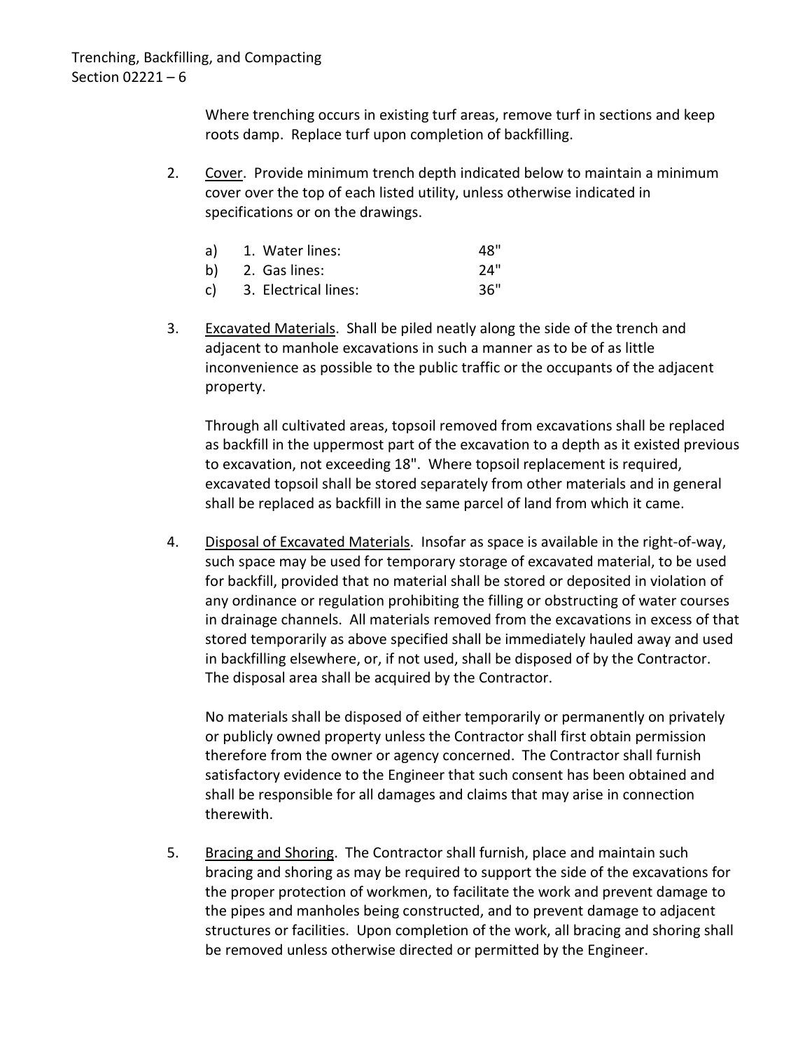Where trenching occurs in existing turf areas, remove turf in sections and keep roots damp. Replace turf upon completion of backfilling.

2. Cover. Provide minimum trench depth indicated below to maintain a minimum cover over the top of each listed utility, unless otherwise indicated in specifications or on the drawings.

| a) 1. Water lines:      | 48" |
|-------------------------|-----|
| b) 2. Gas lines:        | 24" |
| c) 3. Electrical lines: | 36" |

3. Excavated Materials. Shall be piled neatly along the side of the trench and adjacent to manhole excavations in such a manner as to be of as little inconvenience as possible to the public traffic or the occupants of the adjacent property.

Through all cultivated areas, topsoil removed from excavations shall be replaced as backfill in the uppermost part of the excavation to a depth as it existed previous to excavation, not exceeding 18". Where topsoil replacement is required, excavated topsoil shall be stored separately from other materials and in general shall be replaced as backfill in the same parcel of land from which it came.

4. Disposal of Excavated Materials. Insofar as space is available in the right-of-way, such space may be used for temporary storage of excavated material, to be used for backfill, provided that no material shall be stored or deposited in violation of any ordinance or regulation prohibiting the filling or obstructing of water courses in drainage channels. All materials removed from the excavations in excess of that stored temporarily as above specified shall be immediately hauled away and used in backfilling elsewhere, or, if not used, shall be disposed of by the Contractor. The disposal area shall be acquired by the Contractor.

No materials shall be disposed of either temporarily or permanently on privately or publicly owned property unless the Contractor shall first obtain permission therefore from the owner or agency concerned. The Contractor shall furnish satisfactory evidence to the Engineer that such consent has been obtained and shall be responsible for all damages and claims that may arise in connection therewith.

5. Bracing and Shoring. The Contractor shall furnish, place and maintain such bracing and shoring as may be required to support the side of the excavations for the proper protection of workmen, to facilitate the work and prevent damage to the pipes and manholes being constructed, and to prevent damage to adjacent structures or facilities. Upon completion of the work, all bracing and shoring shall be removed unless otherwise directed or permitted by the Engineer.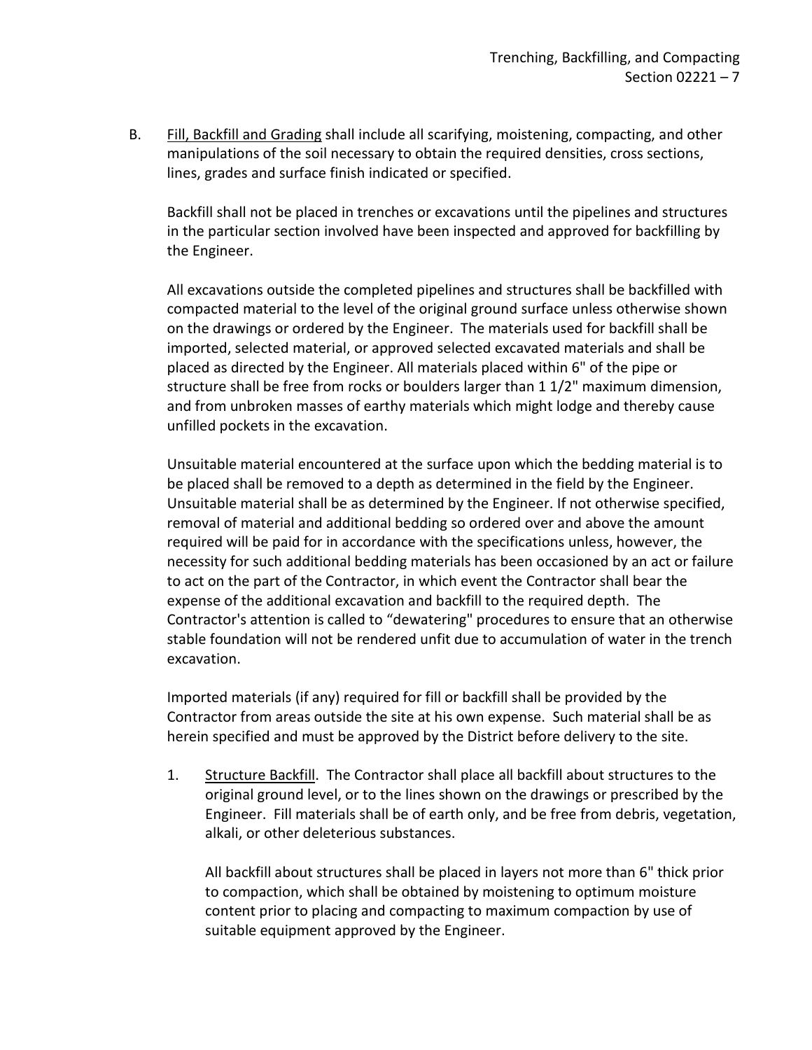B. Fill, Backfill and Grading shall include all scarifying, moistening, compacting, and other manipulations of the soil necessary to obtain the required densities, cross sections, lines, grades and surface finish indicated or specified.

Backfill shall not be placed in trenches or excavations until the pipelines and structures in the particular section involved have been inspected and approved for backfilling by the Engineer.

All excavations outside the completed pipelines and structures shall be backfilled with compacted material to the level of the original ground surface unless otherwise shown on the drawings or ordered by the Engineer. The materials used for backfill shall be imported, selected material, or approved selected excavated materials and shall be placed as directed by the Engineer. All materials placed within 6" of the pipe or structure shall be free from rocks or boulders larger than 1 1/2" maximum dimension, and from unbroken masses of earthy materials which might lodge and thereby cause unfilled pockets in the excavation.

Unsuitable material encountered at the surface upon which the bedding material is to be placed shall be removed to a depth as determined in the field by the Engineer. Unsuitable material shall be as determined by the Engineer. If not otherwise specified, removal of material and additional bedding so ordered over and above the amount required will be paid for in accordance with the specifications unless, however, the necessity for such additional bedding materials has been occasioned by an act or failure to act on the part of the Contractor, in which event the Contractor shall bear the expense of the additional excavation and backfill to the required depth. The Contractor's attention is called to "dewatering" procedures to ensure that an otherwise stable foundation will not be rendered unfit due to accumulation of water in the trench excavation.

Imported materials (if any) required for fill or backfill shall be provided by the Contractor from areas outside the site at his own expense. Such material shall be as herein specified and must be approved by the District before delivery to the site.

1. Structure Backfill. The Contractor shall place all backfill about structures to the original ground level, or to the lines shown on the drawings or prescribed by the Engineer. Fill materials shall be of earth only, and be free from debris, vegetation, alkali, or other deleterious substances.

All backfill about structures shall be placed in layers not more than 6" thick prior to compaction, which shall be obtained by moistening to optimum moisture content prior to placing and compacting to maximum compaction by use of suitable equipment approved by the Engineer.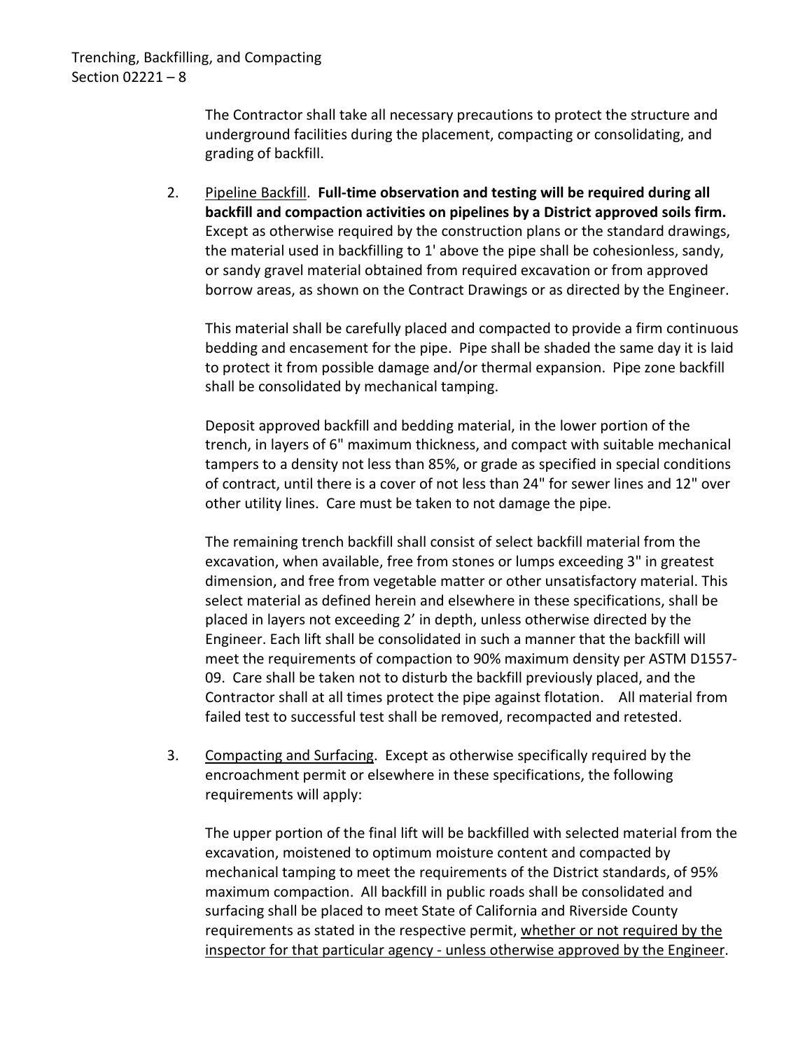The Contractor shall take all necessary precautions to protect the structure and underground facilities during the placement, compacting or consolidating, and grading of backfill.

2. Pipeline Backfill. **Full-time observation and testing will be required during all backfill and compaction activities on pipelines by a District approved soils firm.**  Except as otherwise required by the construction plans or the standard drawings, the material used in backfilling to 1' above the pipe shall be cohesionless, sandy, or sandy gravel material obtained from required excavation or from approved borrow areas, as shown on the Contract Drawings or as directed by the Engineer.

This material shall be carefully placed and compacted to provide a firm continuous bedding and encasement for the pipe. Pipe shall be shaded the same day it is laid to protect it from possible damage and/or thermal expansion. Pipe zone backfill shall be consolidated by mechanical tamping.

Deposit approved backfill and bedding material, in the lower portion of the trench, in layers of 6" maximum thickness, and compact with suitable mechanical tampers to a density not less than 85%, or grade as specified in special conditions of contract, until there is a cover of not less than 24" for sewer lines and 12" over other utility lines. Care must be taken to not damage the pipe.

The remaining trench backfill shall consist of select backfill material from the excavation, when available, free from stones or lumps exceeding 3" in greatest dimension, and free from vegetable matter or other unsatisfactory material. This select material as defined herein and elsewhere in these specifications, shall be placed in layers not exceeding 2' in depth, unless otherwise directed by the Engineer. Each lift shall be consolidated in such a manner that the backfill will meet the requirements of compaction to 90% maximum density per ASTM D1557- 09. Care shall be taken not to disturb the backfill previously placed, and the Contractor shall at all times protect the pipe against flotation. All material from failed test to successful test shall be removed, recompacted and retested.

3. Compacting and Surfacing. Except as otherwise specifically required by the encroachment permit or elsewhere in these specifications, the following requirements will apply:

The upper portion of the final lift will be backfilled with selected material from the excavation, moistened to optimum moisture content and compacted by mechanical tamping to meet the requirements of the District standards, of 95% maximum compaction. All backfill in public roads shall be consolidated and surfacing shall be placed to meet State of California and Riverside County requirements as stated in the respective permit, whether or not required by the inspector for that particular agency - unless otherwise approved by the Engineer.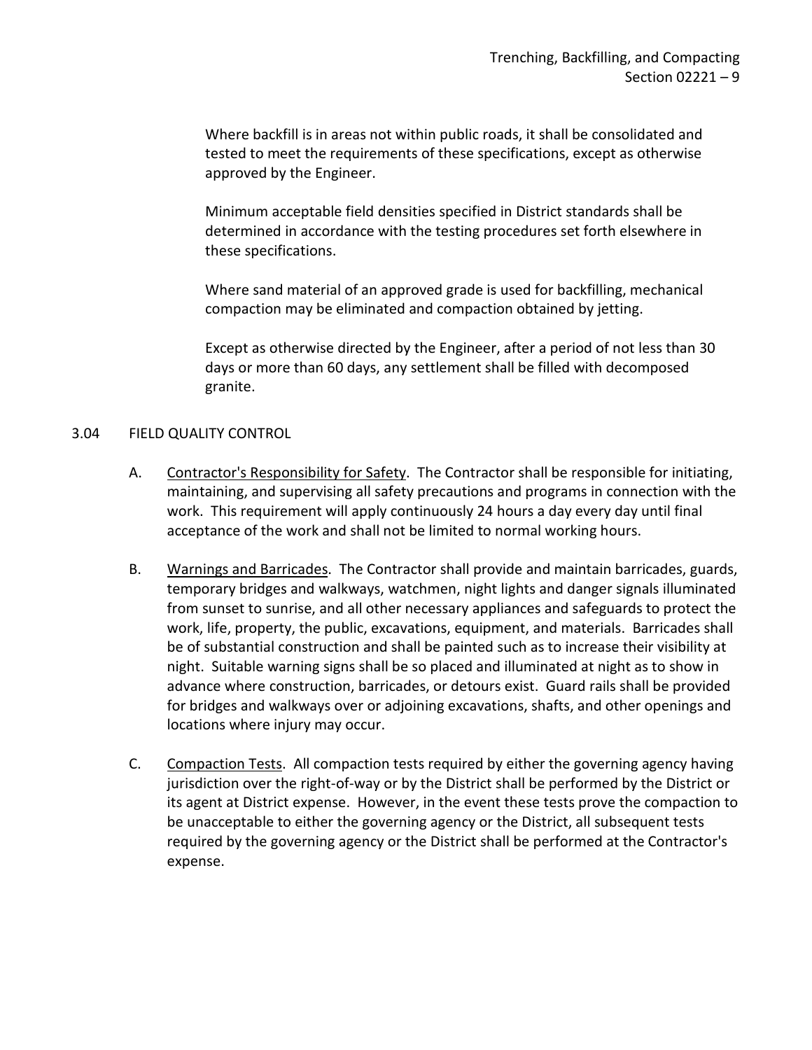Where backfill is in areas not within public roads, it shall be consolidated and tested to meet the requirements of these specifications, except as otherwise approved by the Engineer.

Minimum acceptable field densities specified in District standards shall be determined in accordance with the testing procedures set forth elsewhere in these specifications.

Where sand material of an approved grade is used for backfilling, mechanical compaction may be eliminated and compaction obtained by jetting.

Except as otherwise directed by the Engineer, after a period of not less than 30 days or more than 60 days, any settlement shall be filled with decomposed granite.

## <span id="page-10-0"></span>3.04 FIELD QUALITY CONTROL

- A. Contractor's Responsibility for Safety. The Contractor shall be responsible for initiating, maintaining, and supervising all safety precautions and programs in connection with the work. This requirement will apply continuously 24 hours a day every day until final acceptance of the work and shall not be limited to normal working hours.
- B. Warnings and Barricades. The Contractor shall provide and maintain barricades, guards, temporary bridges and walkways, watchmen, night lights and danger signals illuminated from sunset to sunrise, and all other necessary appliances and safeguards to protect the work, life, property, the public, excavations, equipment, and materials. Barricades shall be of substantial construction and shall be painted such as to increase their visibility at night. Suitable warning signs shall be so placed and illuminated at night as to show in advance where construction, barricades, or detours exist. Guard rails shall be provided for bridges and walkways over or adjoining excavations, shafts, and other openings and locations where injury may occur.
- C. Compaction Tests. All compaction tests required by either the governing agency having jurisdiction over the right-of-way or by the District shall be performed by the District or its agent at District expense. However, in the event these tests prove the compaction to be unacceptable to either the governing agency or the District, all subsequent tests required by the governing agency or the District shall be performed at the Contractor's expense.